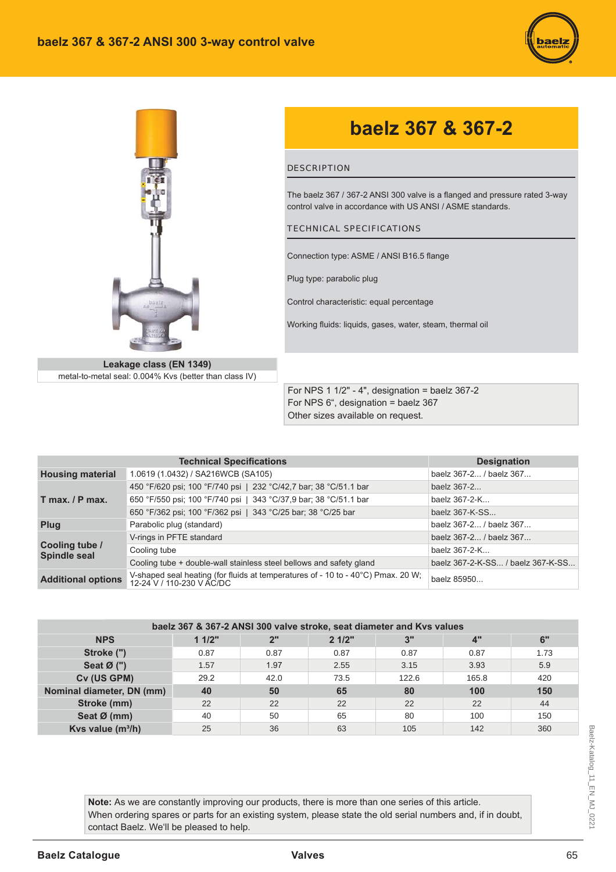



# baelz 367 & 367-2

### **DESCRIPTION**

The baelz 367 / 367-2 ANSI 300 valve is a flanged and pressure rated 3-way control valve in accordance with US ANSI / ASME standards.

#### **TECHNICAL SPECIFICATIONS**

Connection type: ASME / ANSI B16.5 flange

Plug type: parabolic plug

Control characteristic: equal percentage

Working fluids: liquids, gases, water, steam, thermal oil

Leakage class (EN 1349) metal-to-metal seal: 0.004% Kvs (better than class IV)

For NPS 1 1/2" - 4", designation = baelz 367-2 For NPS 6", designation = baelz 367 Other sizes available on request.

|                                | <b>Technical Specifications</b>                                                                               | <b>Designation</b>                |  |  |  |
|--------------------------------|---------------------------------------------------------------------------------------------------------------|-----------------------------------|--|--|--|
| <b>Housing material</b>        | 1.0619 (1.0432) / SA216WCB (SA105)                                                                            | baelz 367-2 / baelz 367           |  |  |  |
|                                | 450 °F/620 psi; 100 °F/740 psi   232 °C/42,7 bar; 38 °C/51.1 bar                                              | baelz 367-2                       |  |  |  |
| $T$ max. $/ P$ max.            | 650 °F/550 psi; 100 °F/740 psi   343 °C/37,9 bar; 38 °C/51.1 bar                                              | baelz 367-2-K                     |  |  |  |
|                                | 650 °F/362 psi; 100 °F/362 psi   343 °C/25 bar; 38 °C/25 bar                                                  | baelz 367-K-SS                    |  |  |  |
| Plug                           | Parabolic plug (standard)                                                                                     | baelz 367-2 / baelz 367           |  |  |  |
|                                | V-rings in PFTE standard                                                                                      | baelz 367-2 / baelz 367           |  |  |  |
| Cooling tube /<br>Spindle seal | Cooling tube                                                                                                  | baelz 367-2-K                     |  |  |  |
|                                | Cooling tube + double-wall stainless steel bellows and safety gland                                           | baelz 367-2-K-SS / baelz 367-K-SS |  |  |  |
| <b>Additional options</b>      | V-shaped seal heating (for fluids at temperatures of - 10 to - 40°C) Pmax. 20 W;<br>12-24 V / 110-230 V AC/DC | baelz 85950                       |  |  |  |

| baelz 367 & 367-2 ANSI 300 valve stroke, seat diameter and Kvs values |       |      |       |       |       |      |  |  |  |  |  |  |
|-----------------------------------------------------------------------|-------|------|-------|-------|-------|------|--|--|--|--|--|--|
| <b>NPS</b>                                                            | 11/2" | 2"   | 21/2" | 3"    | 4"    | 6"   |  |  |  |  |  |  |
| Stroke (")                                                            | 0.87  | 0.87 | 0.87  | 0.87  | 0.87  | 1.73 |  |  |  |  |  |  |
| Seat $\emptyset$ (")                                                  | 1.57  | 1.97 | 2.55  | 3.15  | 3.93  | 5.9  |  |  |  |  |  |  |
| Cv (US GPM)                                                           | 29.2  | 42.0 | 73.5  | 122.6 | 165.8 | 420  |  |  |  |  |  |  |
| Nominal diameter, DN (mm)                                             | 40    | 50   | 65    | 80    | 100   | 150  |  |  |  |  |  |  |
| Stroke (mm)                                                           | 22    | 22   | 22    | 22    | 22    | 44   |  |  |  |  |  |  |
| Seat Ø (mm)                                                           | 40    | 50   | 65    | 80    | 100   | 150  |  |  |  |  |  |  |
| Kvs value $(m^3/h)$                                                   | 25    | 36   | 63    | 105   | 142   | 360  |  |  |  |  |  |  |

Note: As we are constantly improving our products, there is more than one series of this article. When ordering spares or parts for an existing system, please state the old serial numbers and, if in doubt, contact Baelz. We'll be pleased to help.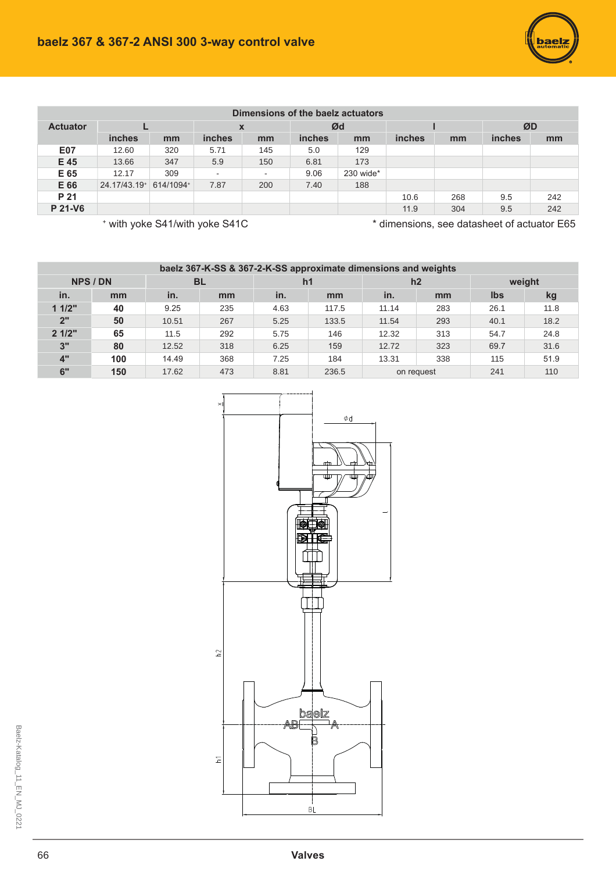| Dimensions of the baelz actuators |                                                                               |           |                           |     |               |           |               |     |               |     |  |  |
|-----------------------------------|-------------------------------------------------------------------------------|-----------|---------------------------|-----|---------------|-----------|---------------|-----|---------------|-----|--|--|
| <b>Actuator</b>                   |                                                                               |           | $\boldsymbol{\mathsf{x}}$ |     | Ød            |           |               |     | ØD            |     |  |  |
|                                   | <b>inches</b>                                                                 | mm        | <b>inches</b>             | mm  | <i>inches</i> | mm        | <i>inches</i> | mm  | <i>inches</i> | mm  |  |  |
| <b>E07</b>                        | 12.60                                                                         | 320       | 5.71                      | 145 | 5.0           | 129       |               |     |               |     |  |  |
| E 45                              | 13.66                                                                         | 347       | 5.9                       | 150 | 6.81          | 173       |               |     |               |     |  |  |
| E 65                              | 12.17                                                                         | 309       |                           | ٠   | 9.06          | 230 wide* |               |     |               |     |  |  |
| E 66                              | 24.17/43.19+                                                                  | 614/1094+ | 7.87                      | 200 | 7.40          | 188       |               |     |               |     |  |  |
| P 21                              |                                                                               |           |                           |     |               |           | 10.6          | 268 | 9.5           | 242 |  |  |
| P 21-V6                           |                                                                               |           |                           |     |               |           | 11.9          | 304 | 9.5           | 242 |  |  |
|                                   | * dimensions, see datasheet of actuator E65<br>* with yoke S41/with yoke S41C |           |                           |     |               |           |               |     |               |     |  |  |

| baelz 367-K-SS & 367-2-K-SS approximate dimensions and weights |     |           |     |                |       |            |     |            |      |  |  |  |  |
|----------------------------------------------------------------|-----|-----------|-----|----------------|-------|------------|-----|------------|------|--|--|--|--|
| NPS / DN                                                       |     | <b>BL</b> |     | h <sub>1</sub> |       | h2         |     | weight     |      |  |  |  |  |
| in.                                                            | mm  | in.       | mm  | in.            | mm    | in.        | mm  | <b>Ibs</b> | kg   |  |  |  |  |
| 11/2"                                                          | 40  | 9.25      | 235 | 4.63           | 117.5 | 11.14      | 283 | 26.1       | 11.8 |  |  |  |  |
| 2"                                                             | 50  | 10.51     | 267 | 5.25           | 133.5 | 11.54      | 293 | 40.1       | 18.2 |  |  |  |  |
| 21/2"                                                          | 65  | 11.5      | 292 | 5.75           | 146   | 12.32      | 313 | 54.7       | 24.8 |  |  |  |  |
| 3"                                                             | 80  | 12.52     | 318 | 6.25           | 159   | 12.72      | 323 | 69.7       | 31.6 |  |  |  |  |
| 4"                                                             | 100 | 14.49     | 368 | 7.25           | 184   | 13.31      | 338 | 115        | 51.9 |  |  |  |  |
| 6"                                                             | 150 | 17.62     | 473 | 8.81           | 236.5 | on request |     | 241        | 110  |  |  |  |  |